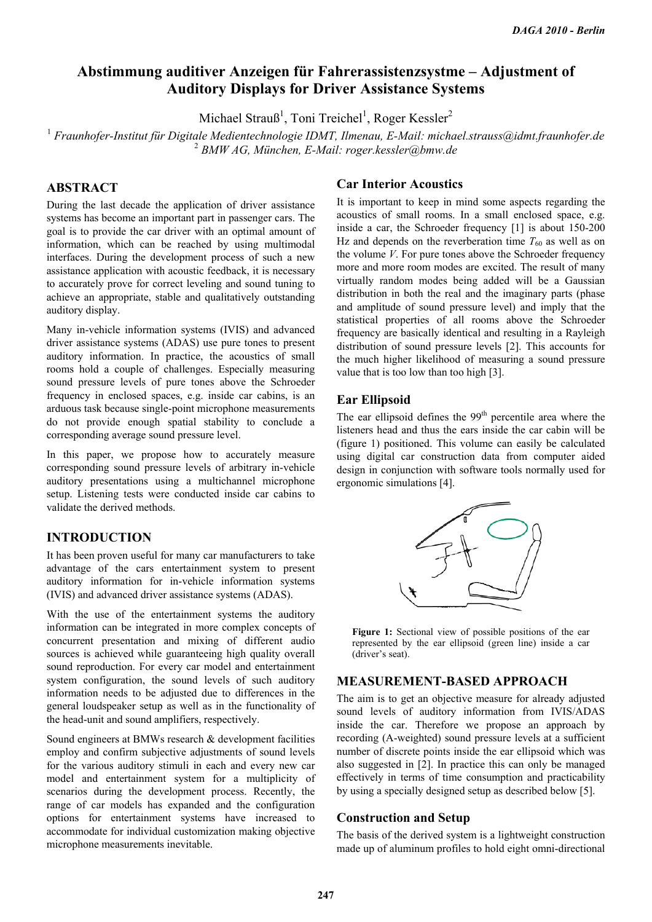# **Abstimmung auditiver Anzeigen für Fahrerassistenzsystme – Adjustment of Auditory Displays for Driver Assistance Systems**

Michael Strauß<sup>1</sup>, Toni Treichel<sup>1</sup>, Roger Kessler<sup>2</sup>

Michael Strauß<sup>1</sup>, Toni Treichel<sup>1</sup>, Roger Kessler<sup>2</sup><br><sup>1</sup> Fraunhofer-Institut für Digitale Medientechnologie IDMT, Ilmenau, E-Mail: michael.strauss@idmt.fraunhofer.de 2  *BMW AG, München, E-Mail: roger.kessler@bmw.de*

## **ABSTRACT**

During the last decade the application of driver assistance systems has become an important part in passenger cars. The goal is to provide the car driver with an optimal amount of information, which can be reached by using multimodal interfaces. During the development process of such a new assistance application with acoustic feedback, it is necessary to accurately prove for correct leveling and sound tuning to achieve an appropriate, stable and qualitatively outstanding auditory display.

Many in-vehicle information systems (IVIS) and advanced driver assistance systems (ADAS) use pure tones to present auditory information. In practice, the acoustics of small rooms hold a couple of challenges. Especially measuring sound pressure levels of pure tones above the Schroeder frequency in enclosed spaces, e.g. inside car cabins, is an arduous task because single-point microphone measurements do not provide enough spatial stability to conclude a corresponding average sound pressure level.

In this paper, we propose how to accurately measure corresponding sound pressure levels of arbitrary in-vehicle auditory presentations using a multichannel microphone setup. Listening tests were conducted inside car cabins to validate the derived methods.

# **INTRODUCTION**

It has been proven useful for many car manufacturers to take advantage of the cars entertainment system to present auditory information for in-vehicle information systems (IVIS) and advanced driver assistance systems (ADAS).

With the use of the entertainment systems the auditory information can be integrated in more complex concepts of concurrent presentation and mixing of different audio sources is achieved while guaranteeing high quality overall sound reproduction. For every car model and entertainment system configuration, the sound levels of such auditory information needs to be adjusted due to differences in the general loudspeaker setup as well as in the functionality of the head-unit and sound amplifiers, respectively.

Sound engineers at BMWs research & development facilities employ and confirm subjective adjustments of sound levels for the various auditory stimuli in each and every new car model and entertainment system for a multiplicity of scenarios during the development process. Recently, the range of car models has expanded and the configuration options for entertainment systems have increased to accommodate for individual customization making objective microphone measurements inevitable.

## **Car Interior Acoustics**

It is important to keep in mind some aspects regarding the acoustics of small rooms. In a small enclosed space, e.g. inside a car, the Schroeder frequency [1] is about 150-200 Hz and depends on the reverberation time  $T_{60}$  as well as on the volume *V*. For pure tones above the Schroeder frequency more and more room modes are excited. The result of many virtually random modes being added will be a Gaussian distribution in both the real and the imaginary parts (phase and amplitude of sound pressure level) and imply that the statistical properties of all rooms above the Schroeder frequency are basically identical and resulting in a Rayleigh distribution of sound pressure levels [2]. This accounts for the much higher likelihood of measuring a sound pressure value that is too low than too high [3].

# **Ear Ellipsoid**

The ear ellipsoid defines the  $99<sup>th</sup>$  percentile area where the listeners head and thus the ears inside the car cabin will be (figure 1) positioned. This volume can easily be calculated using digital car construction data from computer aided design in conjunction with software tools normally used for ergonomic simulations [4].



**Figure 1:** Sectional view of possible positions of the ear represented by the ear ellipsoid (green line) inside a car (driver's seat).

### **MEASUREMENT-BASED APPROACH**

The aim is to get an objective measure for already adjusted sound levels of auditory information from IVIS/ADAS inside the car. Therefore we propose an approach by recording (A-weighted) sound pressure levels at a sufficient number of discrete points inside the ear ellipsoid which was also suggested in [2]. In practice this can only be managed effectively in terms of time consumption and practicability by using a specially designed setup as described below [5].

### **Construction and Setup**

The basis of the derived system is a lightweight construction made up of aluminum profiles to hold eight omni-directional